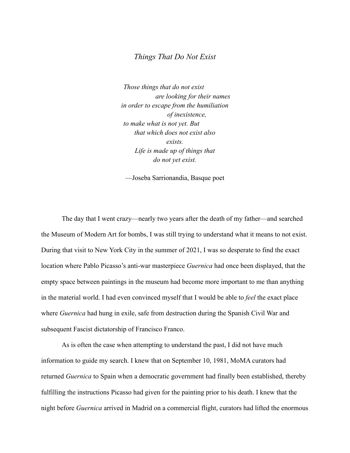## *Things That Do Not Exist*

*Those things that do not exist are looking for their names in order to escape from the humiliation of inexistence, to make what is not yet. But that which does not exist also exists. Life is made up of things that do not yet exist.*

—Joseba Sarrionandia, Basque poet

The day that I went crazy—nearly two years after the death of my father—and searched the Museum of Modern Art for bombs, I was still trying to understand what it means to not exist. During that visit to New York City in the summer of 2021, I was so desperate to find the exact location where Pablo Picasso's anti-war masterpiece *Guernica* had once been displayed, that the empty space between paintings in the museum had become more important to me than anything in the material world. I had even convinced myself that I would be able to *feel* the exact place where *Guernica* had hung in exile, safe from destruction during the Spanish Civil War and subsequent Fascist dictatorship of Francisco Franco.

As is often the case when attempting to understand the past, I did not have much information to guide my search. I knew that on September 10, 1981, MoMA curators had returned *Guernica* to Spain when a democratic government had finally been established, thereby fulfilling the instructions Picasso had given for the painting prior to his death. I knew that the night before *Guernica* arrived in Madrid on a commercial flight, curators had lifted the enormous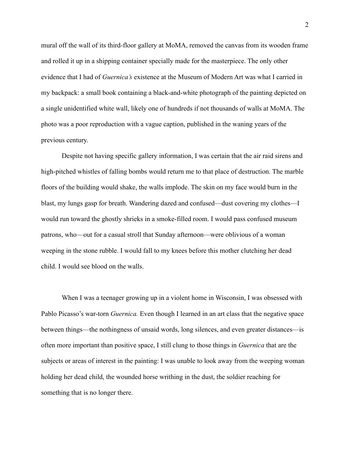mural off the wall of its third-floor gallery at MoMA, removed the canvas from its wooden frame and rolled it up in a shipping container specially made for the masterpiece. The only other evidence that I had of *Guernica's* existence at the Museum of Modern Art was what I carried in my backpack: a small book containing a black-and-white photograph of the painting depicted on a single unidentified white wall, likely one of hundreds if not thousands of walls at MoMA. The photo was a poor reproduction with a vague caption, published in the waning years of the previous century.

Despite not having specific gallery information, I was certain that the air raid sirens and high-pitched whistles of falling bombs would return me to that place of destruction. The marble floors of the building would shake, the walls implode. The skin on my face would burn in the blast, my lungs gasp for breath. Wandering dazed and confused—dust covering my clothes—I would run toward the ghostly shrieks in a smoke-filled room. I would pass confused museum patrons, who—out for a casual stroll that Sunday afternoon—were oblivious of a woman weeping in the stone rubble. I would fall to my knees before this mother clutching her dead child. I would see blood on the walls.

When I was a teenager growing up in a violent home in Wisconsin, I was obsessed with Pablo Picasso's war-torn *Guernica*. Even though I learned in an art class that the negative space between things—the nothingness of unsaid words, long silences, and even greater distances—is often more important than positive space, I still clung to those things in *Guernica* that are the subjects or areas of interest in the painting: I was unable to look away from the weeping woman holding her dead child, the wounded horse writhing in the dust, the soldier reaching for something that is no longer there.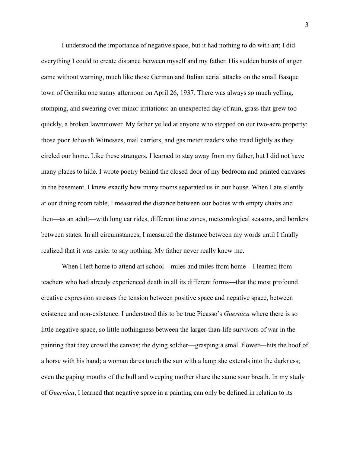I understood the importance of negative space, but it had nothing to do with art; I did everything I could to create distance between myself and my father. His sudden bursts of anger came without warning, much like those German and Italian aerial attacks on the small Basque town of Gernika one sunny afternoon on April 26, 1937. There was always so much yelling, stomping, and swearing over minor irritations: an unexpected day of rain, grass that grew too quickly, a broken lawnmower. My father yelled at anyone who stepped on our two-acre property: those poor Jehovah Witnesses, mail carriers, and gas meter readers who tread lightly as they circled our home. Like these strangers, I learned to stay away from my father, but I did not have many places to hide. I wrote poetry behind the closed door of my bedroom and painted canvases in the basement. I knew exactly how many rooms separated us in our house. When I ate silently at our dining room table, I measured the distance between our bodies with empty chairs and then—as an adult—with long car rides, different time zones, meteorological seasons, and borders between states. In all circumstances, I measured the distance between my words until I finally realized that it was easier to say nothing. My father never really knew me.

When I left home to attend art school—miles and miles from home—I learned from teachers who had already experienced death in all its different forms—that the most profound creative expression stresses the tension between positive space and negative space, between existence and non-existence. I understood this to be true Picasso's *Guernica* where there is so little negative space, so little nothingness between the larger-than-life survivors of war in the painting that they crowd the canvas; the dying soldier—grasping a small flower—hits the hoof of a horse with his hand; a woman dares touch the sun with a lamp she extends into the darkness; even the gaping mouths of the bull and weeping mother share the same sour breath. In my study of *Guernica*, I learned that negative space in a painting can only be defined in relation to its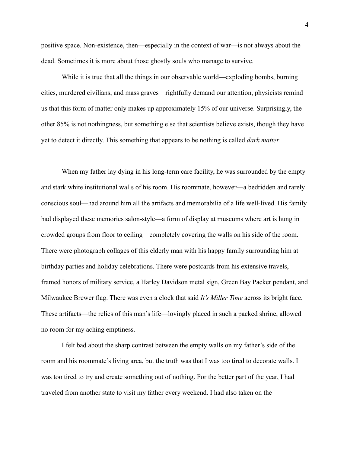positive space. Non-existence, then—especially in the context of war—is not always about the dead. Sometimes it is more about those ghostly souls who manage to survive.

While it is true that all the things in our observable world—exploding bombs, burning cities, murdered civilians, and mass graves—rightfully demand our attention, physicists remind us that this form of matter only makes up approximately 15% of our universe. Surprisingly, the other 85% is not nothingness, but something else that scientists believe exists, though they have yet to detect it directly. This something that appears to be nothing is called *dark matter*.

When my father lay dying in his long-term care facility, he was surrounded by the empty and stark white institutional walls of his room. His roommate, however—a bedridden and rarely conscious soul—had around him all the artifacts and memorabilia of a life well-lived. His family had displayed these memories salon-style—a form of display at museums where art is hung in crowded groups from floor to ceiling—completely covering the walls on his side of the room. There were photograph collages of this elderly man with his happy family surrounding him at birthday parties and holiday celebrations. There were postcards from his extensive travels, framed honors of military service, a Harley Davidson metal sign, Green Bay Packer pendant, and Milwaukee Brewer flag. There was even a clock that said *It's Miller Time* across its bright face. These artifacts—the relics of this man's life—lovingly placed in such a packed shrine, allowed no room for my aching emptiness.

I felt bad about the sharp contrast between the empty walls on my father's side of the room and his roommate's living area, but the truth was that I was too tired to decorate walls. I was too tired to try and create something out of nothing. For the better part of the year, I had traveled from another state to visit my father every weekend. I had also taken on the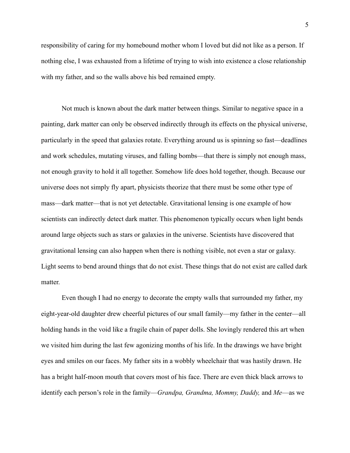responsibility of caring for my homebound mother whom I loved but did not like as a person. If nothing else, I was exhausted from a lifetime of trying to wish into existence a close relationship with my father, and so the walls above his bed remained empty.

Not much is known about the dark matter between things. Similar to negative space in a painting, dark matter can only be observed indirectly through its effects on the physical universe, particularly in the speed that galaxies rotate. Everything around us is spinning so fast—deadlines and work schedules, mutating viruses, and falling bombs—that there is simply not enough mass, not enough gravity to hold it all together. Somehow life does hold together, though. Because our universe does not simply fly apart, physicists theorize that there must be some other type of mass—dark matter—that is not yet detectable. Gravitational lensing is one example of how scientists can indirectly detect dark matter. This phenomenon typically occurs when light bends around large objects such as stars or galaxies in the universe. Scientists have discovered that gravitational lensing can also happen when there is nothing visible, not even a star or galaxy. Light seems to bend around things that do not exist. These things that do not exist are called dark matter.

Even though I had no energy to decorate the empty walls that surrounded my father, my eight-year-old daughter drew cheerful pictures of our small family—my father in the center—all holding hands in the void like a fragile chain of paper dolls. She lovingly rendered this art when we visited him during the last few agonizing months of his life. In the drawings we have bright eyes and smiles on our faces. My father sits in a wobbly wheelchair that was hastily drawn. He has a bright half-moon mouth that covers most of his face. There are even thick black arrows to identify each person's role in the family—*Grandpa, Grandma, Mommy, Daddy,* and *Me*—as we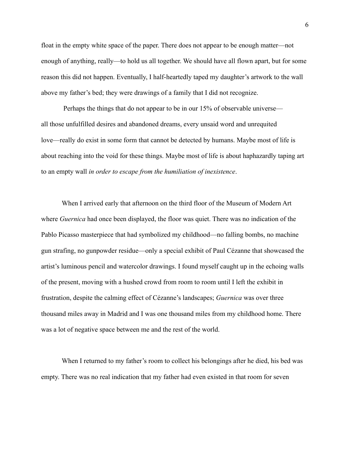float in the empty white space of the paper. There does not appear to be enough matter—not enough of anything, really—to hold us all together. We should have all flown apart, but for some reason this did not happen. Eventually, I half-heartedly taped my daughter's artwork to the wall above my father's bed; they were drawings of a family that I did not recognize.

Perhaps the things that do not appear to be in our 15% of observable universe all those unfulfilled desires and abandoned dreams, every unsaid word and unrequited love—really do exist in some form that cannot be detected by humans. Maybe most of life is about reaching into the void for these things. Maybe most of life is about haphazardly taping art to an empty wall *in order to escape from the humiliation of inexistence*.

When I arrived early that afternoon on the third floor of the Museum of Modern Art where *Guernica* had once been displayed, the floor was quiet. There was no indication of the Pablo Picasso masterpiece that had symbolized my childhood—no falling bombs, no machine gun strafing, no gunpowder residue—only a special exhibit of Paul Cézanne that showcased the artist's luminous pencil and watercolor drawings. I found myself caught up in the echoing walls of the present, moving with a hushed crowd from room to room until I left the exhibit in frustration, despite the calming effect of Cézanne's landscapes; *Guernica* was over three thousand miles away in Madrid and I was one thousand miles from my childhood home. There was a lot of negative space between me and the rest of the world.

When I returned to my father's room to collect his belongings after he died, his bed was empty. There was no real indication that my father had even existed in that room for seven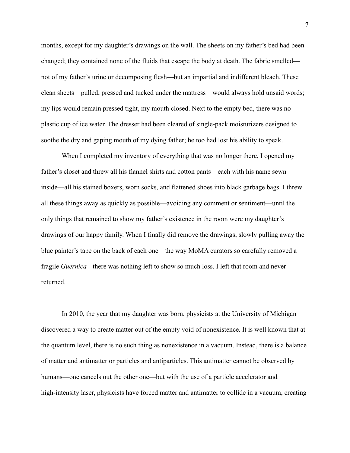months, except for my daughter's drawings on the wall. The sheets on my father's bed had been changed; they contained none of the fluids that escape the body at death. The fabric smelled not of my father's urine or decomposing flesh—but an impartial and indifferent bleach. These clean sheets—pulled, pressed and tucked under the mattress—would always hold unsaid words; my lips would remain pressed tight, my mouth closed. Next to the empty bed, there was no plastic cup of ice water. The dresser had been cleared of single-pack moisturizers designed to soothe the dry and gaping mouth of my dying father; he too had lost his ability to speak.

When I completed my inventory of everything that was no longer there, I opened my father's closet and threw all his flannel shirts and cotton pants—each with his name sewn inside—all his stained boxers, worn socks, and flattened shoes into black garbage bags. I threw all these things away as quickly as possible—avoiding any comment or sentiment—until the only things that remained to show my father's existence in the room were my daughter's drawings of our happy family. When I finally did remove the drawings, slowly pulling away the blue painter's tape on the back of each one—the way MoMA curators so carefully removed a fragile *Guernica—*there was nothing left to show so much loss. I left that room and never returned.

In 2010, the year that my daughter was born, physicists at the University of Michigan discovered a way to create matter out of the empty void of nonexistence. It is well known that at the quantum level, there is no such thing as nonexistence in a vacuum. Instead, there is a balance of matter and antimatter or particles and antiparticles. This antimatter cannot be observed by humans—one cancels out the other one—but with the use of a particle accelerator and high-intensity laser, physicists have forced matter and antimatter to collide in a vacuum, creating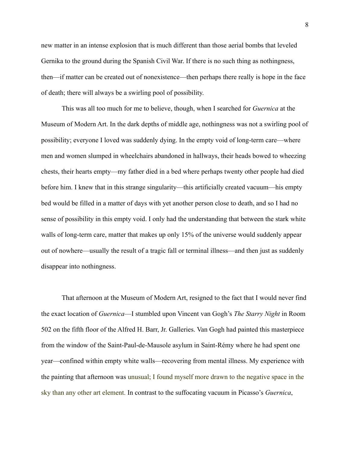new matter in an intense explosion that is much different than those aerial bombs that leveled Gernika to the ground during the Spanish Civil War. If there is no such thing as nothingness, then—if matter can be created out of nonexistence—then perhaps there really is hope in the face of death; there will always be a swirling pool of possibility.

This was all too much for me to believe, though, when I searched for *Guernica* at the Museum of Modern Art. In the dark depths of middle age, nothingness was not a swirling pool of possibility; everyone I loved was suddenly dying. In the empty void of long-term care—where men and women slumped in wheelchairs abandoned in hallways, their heads bowed to wheezing chests, their hearts empty—my father died in a bed where perhaps twenty other people had died before him. I knew that in this strange singularity—this artificially created vacuum—his empty bed would be filled in a matter of days with yet another person close to death, and so I had no sense of possibility in this empty void. I only had the understanding that between the stark white walls of long-term care, matter that makes up only 15% of the universe would suddenly appear out of nowhere—usually the result of a tragic fall or terminal illness—and then just as suddenly disappear into nothingness.

That afternoon at the Museum of Modern Art, resigned to the fact that I would never find the exact location of *Guernica*—I stumbled upon Vincent van Gogh's *The Starry Night* in Room 502 on the fifth floor of the Alfred H. Barr, Jr. Galleries. Van Gogh had painted this masterpiece from the window of the Saint-Paul-de-Mausole asylum in Saint-Rémy where he had spent one year—confined within empty white walls—recovering from mental illness. My experience with the painting that afternoon was unusual; I found myself more drawn to the negative space in the sky than any other art element. In contrast to the suffocating vacuum in Picasso's *Guernica*,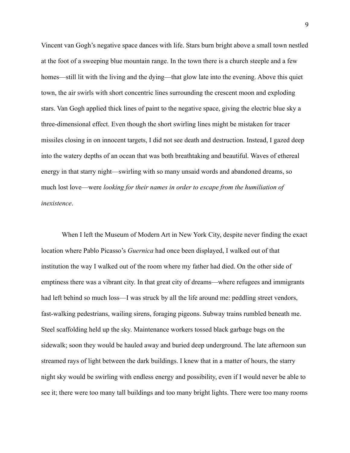Vincent van Gogh's negative space dances with life. Stars burn bright above a small town nestled at the foot of a sweeping blue mountain range. In the town there is a church steeple and a few homes—still lit with the living and the dying—that glow late into the evening. Above this quiet town, the air swirls with short concentric lines surrounding the crescent moon and exploding stars. Van Gogh applied thick lines of paint to the negative space, giving the electric blue sky a three-dimensional effect. Even though the short swirling lines might be mistaken for tracer missiles closing in on innocent targets, I did not see death and destruction. Instead, I gazed deep into the watery depths of an ocean that was both breathtaking and beautiful. Waves of ethereal energy in that starry night—swirling with so many unsaid words and abandoned dreams, so much lost love—were *looking for their names in order to escape from the humiliation of inexistence*.

When I left the Museum of Modern Art in New York City, despite never finding the exact location where Pablo Picasso's *Guernica* had once been displayed, I walked out of that institution the way I walked out of the room where my father had died. On the other side of emptiness there was a vibrant city. In that great city of dreams—where refugees and immigrants had left behind so much loss—I was struck by all the life around me: peddling street vendors, fast-walking pedestrians, wailing sirens, foraging pigeons. Subway trains rumbled beneath me. Steel scaffolding held up the sky. Maintenance workers tossed black garbage bags on the sidewalk; soon they would be hauled away and buried deep underground. The late afternoon sun streamed rays of light between the dark buildings. I knew that in a matter of hours, the starry night sky would be swirling with endless energy and possibility, even if I would never be able to see it; there were too many tall buildings and too many bright lights. There were too many rooms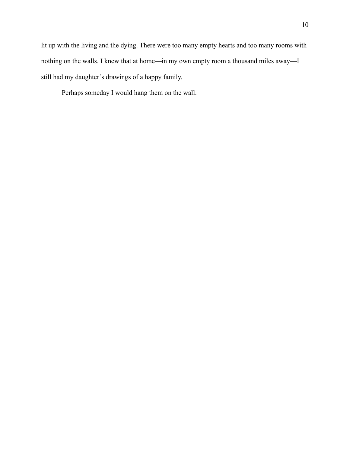lit up with the living and the dying. There were too many empty hearts and too many rooms with nothing on the walls. I knew that at home—in my own empty room a thousand miles away—I still had my daughter's drawings of a happy family.

Perhaps someday I would hang them on the wall.